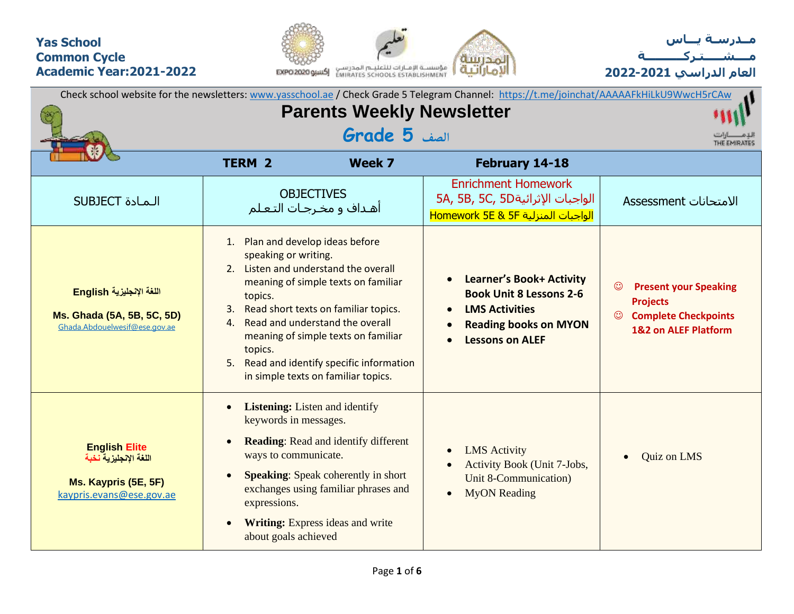## **Yas School Common Cycle Academic Year:2021-2022**





**العام الدراسي 2022-2021**

|                                                                                                   |                                                                                                  |                                                                                                                                                                                                                                                                                | Check school website for the newsletters: www.yasschool.ae / Check Grade 5 Telegram Channel: https://t.me/joinchat/AAAAAFkHiLkU9WwcH5rCAw            |                                                                                                                                            |  |  |  |  |
|---------------------------------------------------------------------------------------------------|--------------------------------------------------------------------------------------------------|--------------------------------------------------------------------------------------------------------------------------------------------------------------------------------------------------------------------------------------------------------------------------------|------------------------------------------------------------------------------------------------------------------------------------------------------|--------------------------------------------------------------------------------------------------------------------------------------------|--|--|--|--|
|                                                                                                   |                                                                                                  | <b>Parents Weekly Newsletter</b>                                                                                                                                                                                                                                               |                                                                                                                                                      |                                                                                                                                            |  |  |  |  |
|                                                                                                   |                                                                                                  | الصف <b>5 Grade</b>                                                                                                                                                                                                                                                            |                                                                                                                                                      | THE EMIRATES                                                                                                                               |  |  |  |  |
|                                                                                                   | <b>TERM 2</b>                                                                                    | Week 7                                                                                                                                                                                                                                                                         | February 14-18                                                                                                                                       |                                                                                                                                            |  |  |  |  |
| <b>SUBJECT</b> المادة                                                                             |                                                                                                  | <b>OBJECTIVES</b><br>أهـداف و مخـرجـات التـعـلم                                                                                                                                                                                                                                | <b>Enrichment Homework</b><br>5A, 5B, 5C, 5Dالواجبات الإثرائية<br>الواجبات المنزلية Homework 5E & 5F                                                 | الامتحانات Assessment                                                                                                                      |  |  |  |  |
| اللغة الإنجليزية English<br>Ms. Ghada (5A, 5B, 5C, 5D)<br>Ghada.Abdouelwesif@ese.gov.ae           | 1. Plan and develop ideas before<br>speaking or writing.<br>topics.<br>3.<br>4.<br>topics.<br>5. | 2. Listen and understand the overall<br>meaning of simple texts on familiar<br>Read short texts on familiar topics.<br>Read and understand the overall<br>meaning of simple texts on familiar<br>Read and identify specific information<br>in simple texts on familiar topics. | <b>Learner's Book+ Activity</b><br><b>Book Unit 8 Lessons 2-6</b><br><b>LMS Activities</b><br><b>Reading books on MYON</b><br><b>Lessons on ALEF</b> | $_{\odot}$<br><b>Present your Speaking</b><br><b>Projects</b><br><b>Complete Checkpoints</b><br>$\odot$<br><b>1&amp;2 on ALEF Platform</b> |  |  |  |  |
| <b>English Elite</b><br>اللغة الإنجليزية نخبة<br>Ms. Kaypris (5E, 5F)<br>kaypris.evans@ese.gov.ae | keywords in messages.<br>ways to communicate.<br>expressions.<br>about goals achieved            | <b>Listening:</b> Listen and identify<br><b>Reading:</b> Read and identify different<br><b>Speaking:</b> Speak coherently in short<br>exchanges using familiar phrases and<br>Writing: Express ideas and write                                                                 | <b>LMS</b> Activity<br>$\bullet$<br><b>Activity Book (Unit 7-Jobs,</b><br>Unit 8-Communication)<br><b>MyON</b> Reading<br>$\bullet$                  | <b>Quiz on LMS</b><br>$\bullet$                                                                                                            |  |  |  |  |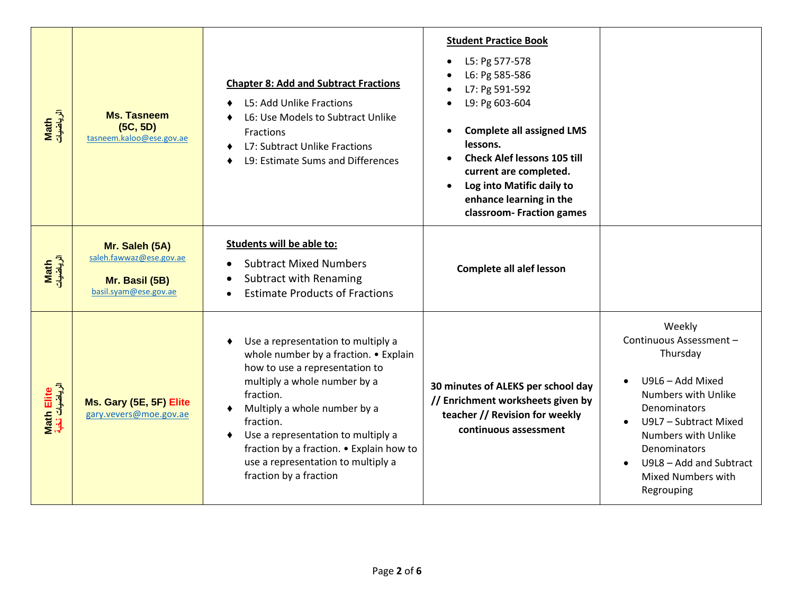| Math<br>الرياضيات            | <b>Ms. Tasneem</b><br>(5C, 5D)<br>tasneem.kaloo@ese.gov.ae                           | <b>Chapter 8: Add and Subtract Fractions</b><br>L5: Add Unlike Fractions<br>L6: Use Models to Subtract Unlike<br>Fractions<br>L7: Subtract Unlike Fractions<br>L9: Estimate Sums and Differences                                                                                                                                                          | <b>Student Practice Book</b><br>L5: Pg 577-578<br>L6: Pg 585-586<br>L7: Pg 591-592<br>L9: Pg 603-604<br><b>Complete all assigned LMS</b><br>lessons.<br><b>Check Alef lessons 105 till</b><br>current are completed.<br>Log into Matific daily to<br>enhance learning in the<br>classroom- Fraction games |                                                                                                                                                                                                                                                |
|------------------------------|--------------------------------------------------------------------------------------|-----------------------------------------------------------------------------------------------------------------------------------------------------------------------------------------------------------------------------------------------------------------------------------------------------------------------------------------------------------|-----------------------------------------------------------------------------------------------------------------------------------------------------------------------------------------------------------------------------------------------------------------------------------------------------------|------------------------------------------------------------------------------------------------------------------------------------------------------------------------------------------------------------------------------------------------|
| Math<br>الرياضيات            | Mr. Saleh (5A)<br>saleh.fawwaz@ese.gov.ae<br>Mr. Basil (5B)<br>basil.syam@ese.gov.ae | Students will be able to:<br><b>Subtract Mixed Numbers</b><br><b>Subtract with Renaming</b><br><b>Estimate Products of Fractions</b>                                                                                                                                                                                                                      | <b>Complete all alef lesson</b>                                                                                                                                                                                                                                                                           |                                                                                                                                                                                                                                                |
| Math Elite<br>الرياضيات نخبة | Ms. Gary (5E, 5F) Elite<br>gary.vevers@moe.gov.ae                                    | Use a representation to multiply a<br>whole number by a fraction. • Explain<br>how to use a representation to<br>multiply a whole number by a<br>fraction.<br>Multiply a whole number by a<br>fraction.<br>Use a representation to multiply a<br>fraction by a fraction. • Explain how to<br>use a representation to multiply a<br>fraction by a fraction | 30 minutes of ALEKS per school day<br>// Enrichment worksheets given by<br>teacher // Revision for weekly<br>continuous assessment                                                                                                                                                                        | Weekly<br>Continuous Assessment -<br>Thursday<br>U9L6 - Add Mixed<br>Numbers with Unlike<br>Denominators<br>U9L7 - Subtract Mixed<br>Numbers with Unlike<br>Denominators<br>U9L8 - Add and Subtract<br><b>Mixed Numbers with</b><br>Regrouping |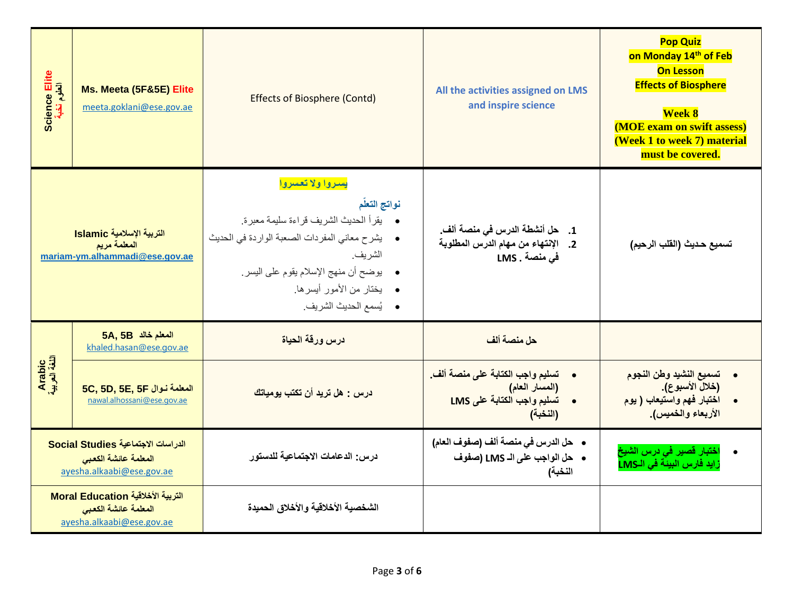| Science Elite<br>العلوم نخبة | Ms. Meeta (5F&5E) Elite<br>meeta.goklani@ese.gov.ae                                     | <b>Effects of Biosphere (Contd)</b>                                                                                                                                                                                                                      | All the activities assigned on LMS<br>and inspire science                                                             | <b>Pop Quiz</b><br>on Monday 14 <sup>th</sup> of Feb<br><b>On Lesson</b><br><b>Effects of Biosphere</b><br><b>Week 8</b><br><b>(MOE exam on swift assess)</b><br>(Week 1 to week 7) material<br>must be covered. |  |  |  |  |  |
|------------------------------|-----------------------------------------------------------------------------------------|----------------------------------------------------------------------------------------------------------------------------------------------------------------------------------------------------------------------------------------------------------|-----------------------------------------------------------------------------------------------------------------------|------------------------------------------------------------------------------------------------------------------------------------------------------------------------------------------------------------------|--|--|--|--|--|
|                              | التربية الإسلامية Islamic<br>المعلمة مريم<br>mariam-ym.alhammadi@ese.gov.ae             | يسروا ولا تعسروا<br>نواتج التعلم<br>•     يقرأ الحديث الشريف قراءة سليمة معبرة.<br>• يشرح معاني المفردات الصعبة الواردة في الحديث<br>الشر يف.<br>•     بوضح أن منهج الإسلام يقوم على اليسر<br>•    يختار من الأمور أيسرها.<br>•     يُسمع الحديث الشريف. | 1.     حل أنشطة الدرس في منصة ألف.<br>2. الإنتهاء من مهام الدرس المطلوبة<br>فى منصة . LMS                             | تسميع حديث (القلب الرحيم)                                                                                                                                                                                        |  |  |  |  |  |
|                              | 5A, 5B المعلم خالد<br>khaled.hasan@ese.gov.ae                                           | درس ورقة الحياة                                                                                                                                                                                                                                          | حل منصة ألف                                                                                                           |                                                                                                                                                                                                                  |  |  |  |  |  |
| Arabic<br>اللغة العربية      | 5C, 5D, 5E, 5F المعلمة نوال<br>nawal.alhossani@ese.gov.ae                               | درس : هل تريد أن تكتب يومياتك                                                                                                                                                                                                                            | تسليم واجب الكتابة على منصة ألف<br>$\bullet$<br>(المسار العام)<br>تسليم واجب الكتابة على LMS<br>$\bullet$<br>(النخبة) | تسميع النشيد وطن النجوم<br>$\bullet$<br>(خلال الأسبوع).<br>اختبار فهم واستيعاب ( يوم<br>الأربعاء والخميس).                                                                                                       |  |  |  |  |  |
|                              | الدراسات الاجتماعية Social Studies<br>المعلمة عائشة الكعبى<br>ayesha.alkaabi@ese.gov.ae | درس: الدعامات الاجتماعية للدستور                                                                                                                                                                                                                         | •    حل الدرس في منصة ألف (صفوف العام)<br>• حل الواجب على الـ LMS (صفوف<br>النخبة)                                    | اختبار قصير في درس الشيخ<br>زايد فارس البيئة في الـLMS                                                                                                                                                           |  |  |  |  |  |
|                              | التربية الأخلاقية Moral Education<br>المعلمة عائشة الكعبى<br>ayesha.alkaabi@ese.gov.ae  | الشخصية الأخلاقية والأخلاق الحميدة                                                                                                                                                                                                                       |                                                                                                                       |                                                                                                                                                                                                                  |  |  |  |  |  |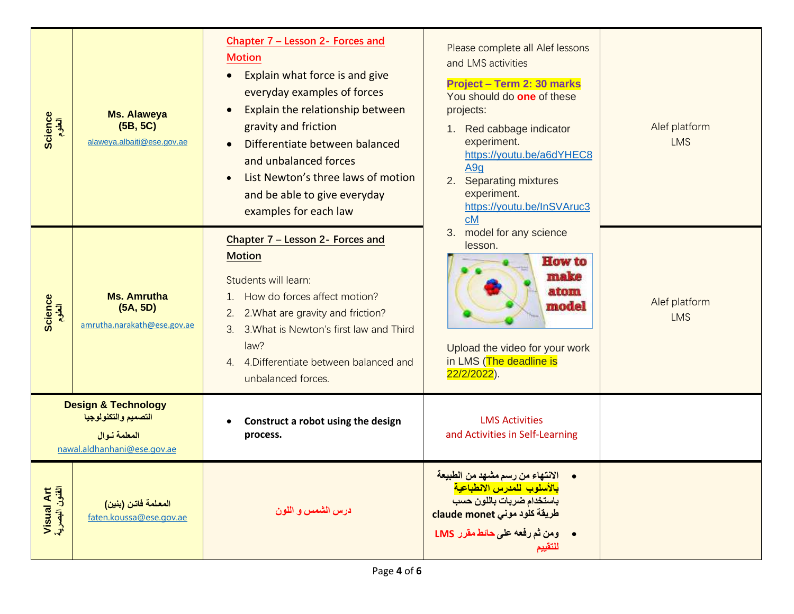| Science<br>العلوم            | Ms. Alaweya<br>(5B, 5C)<br>alaweya.albaiti@ese.gov.ae                                                 | Chapter 7 - Lesson 2- Forces and<br><b>Motion</b><br>Explain what force is and give<br>everyday examples of forces<br>Explain the relationship between<br>$\bullet$<br>gravity and friction<br>Differentiate between balanced<br>$\bullet$<br>and unbalanced forces<br>List Newton's three laws of motion<br>$\bullet$<br>and be able to give everyday<br>examples for each law | Please complete all Alef lessons<br>and LMS activities<br>Project - Term 2: 30 marks<br>You should do one of these<br>projects:<br>1. Red cabbage indicator<br>experiment.<br>https://youtu.be/a6dYHEC8<br>A <sub>9g</sub><br>2.<br><b>Separating mixtures</b><br>experiment.<br>https://youtu.be/InSVAruc3<br>cM | Alef platform<br><b>LMS</b> |
|------------------------------|-------------------------------------------------------------------------------------------------------|---------------------------------------------------------------------------------------------------------------------------------------------------------------------------------------------------------------------------------------------------------------------------------------------------------------------------------------------------------------------------------|-------------------------------------------------------------------------------------------------------------------------------------------------------------------------------------------------------------------------------------------------------------------------------------------------------------------|-----------------------------|
| Science<br>العلوم            | <b>Ms. Amrutha</b><br>(5A, 5D)<br>amrutha.narakath@ese.gov.ae                                         | Chapter 7 - Lesson 2- Forces and<br><b>Motion</b><br>Students will learn:<br>How do forces affect motion?<br>$\mathbf{1}$ .<br>2. What are gravity and friction?<br>2.<br>3. What is Newton's first law and Third<br>3.<br>law?<br>4. 4. Differentiate between balanced and<br>unbalanced forces.                                                                               | model for any science<br>3.<br>lesson.<br><b>How to</b><br>make<br>atom<br>model<br>Upload the video for your work<br>in LMS (The deadline is<br>22/2/2022).                                                                                                                                                      | Alef platform<br><b>LMS</b> |
|                              | <b>Design &amp; Technology</b><br>التصميم والتكنولوجيا<br>المعلمة نوال<br>nawal.aldhanhani@ese.gov.ae | Construct a robot using the design<br>process.                                                                                                                                                                                                                                                                                                                                  | <b>LMS Activities</b><br>and Activities in Self-Learning                                                                                                                                                                                                                                                          |                             |
| Visual Art<br>الفئون البصرية | المعلمة فاتن (بنين)<br>faten.koussa@ese.gov.ae                                                        | درس الشمس و اللون                                                                                                                                                                                                                                                                                                                                                               | الانتهاء من رسم مشهد من الطبيعة<br>بالأسلوب للمدرس الانطباعية<br>باستخدام ضربات باللون حسب<br>طريقة كلود مونى claude monet<br>ومن ثم رفعه على حائط مقرر LMS<br>$\bullet$<br>للتقييم                                                                                                                               |                             |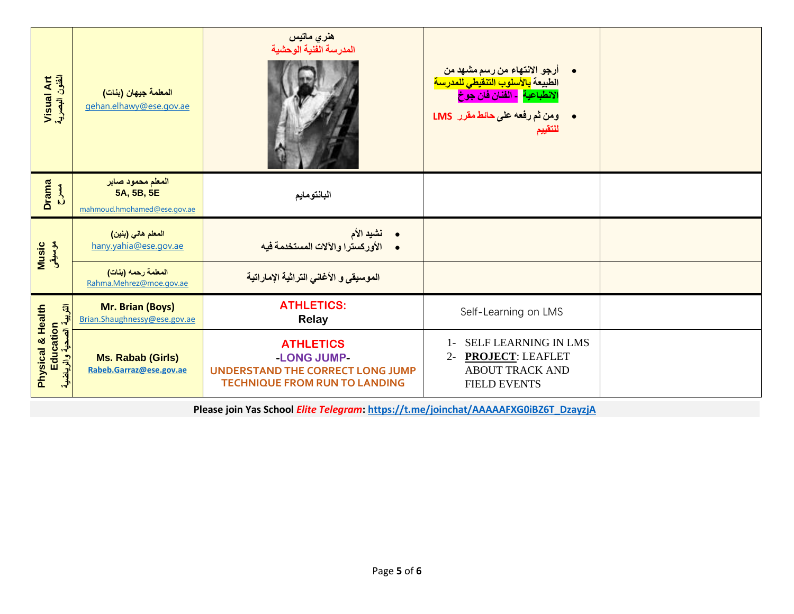| Visual Art<br>الفئون البصرية                                  | المعلمة جيهان (بنات)<br>gehan.elhawy@ese.gov.ae                | هنري ماتيس<br>المدرسة الفنية الوحشية                                                                        | أرجو الانتهاء من رسم مشهد من<br>الطبيعة <mark>بالأسلوب التنقيطي للمدرسة</mark><br>ا <mark>لانطباعية - الفنان فان جو</mark> خ<br>· ومن ثم رفعه على حائط مقرر LMS<br>للتقييم |  |
|---------------------------------------------------------------|----------------------------------------------------------------|-------------------------------------------------------------------------------------------------------------|----------------------------------------------------------------------------------------------------------------------------------------------------------------------------|--|
| <b>Drama</b><br><b>AK2</b>                                    | المعلم محمود صابر<br>5A, 5B, 5E<br>mahmoud.hmohamed@ese.gov.ae | البانتومايم                                                                                                 |                                                                                                                                                                            |  |
| Music<br>موسیقی                                               | المعلم هاني (بنين)<br>hany.yahia@ese.gov.ae                    | • نشيد الأم<br>• الأوركسترا والآلات المستخدمة فيه                                                           |                                                                                                                                                                            |  |
|                                                               | المعلمة رحمه (بنات)<br>Rahma.Mehrez@moe.gov.ae                 | الموسيقى و الأغاني التراثية الإماراتية                                                                      |                                                                                                                                                                            |  |
| آتار لبيرة الله                                               | Mr. Brian (Boys)<br>Brian.Shaughnessy@ese.gov.ae               | <b>ATHLETICS:</b><br><b>Relay</b>                                                                           | Self-Learning on LMS                                                                                                                                                       |  |
| Physical & Health<br>Education<br><mark>حية والرياضي</mark> ة | <b>Ms. Rabab (Girls)</b><br>Rabeb.Garraz@ese.gov.ae            | <b>ATHLETICS</b><br>-LONG JUMP-<br>UNDERSTAND THE CORRECT LONG JUMP<br><b>TECHNIQUE FROM RUN TO LANDING</b> | SELF LEARNING IN LMS<br>$1 -$<br><b>PROJECT: LEAFLET</b><br>$2 -$<br><b>ABOUT TRACK AND</b><br><b>FIELD EVENTS</b>                                                         |  |

**Please join Yas School** *Elite Telegram***: [https://t.me/joinchat/AAAAAFXG0iBZ6T\\_DzayzjA](https://t.me/joinchat/AAAAAFXG0iBZ6T_DzayzjA)**